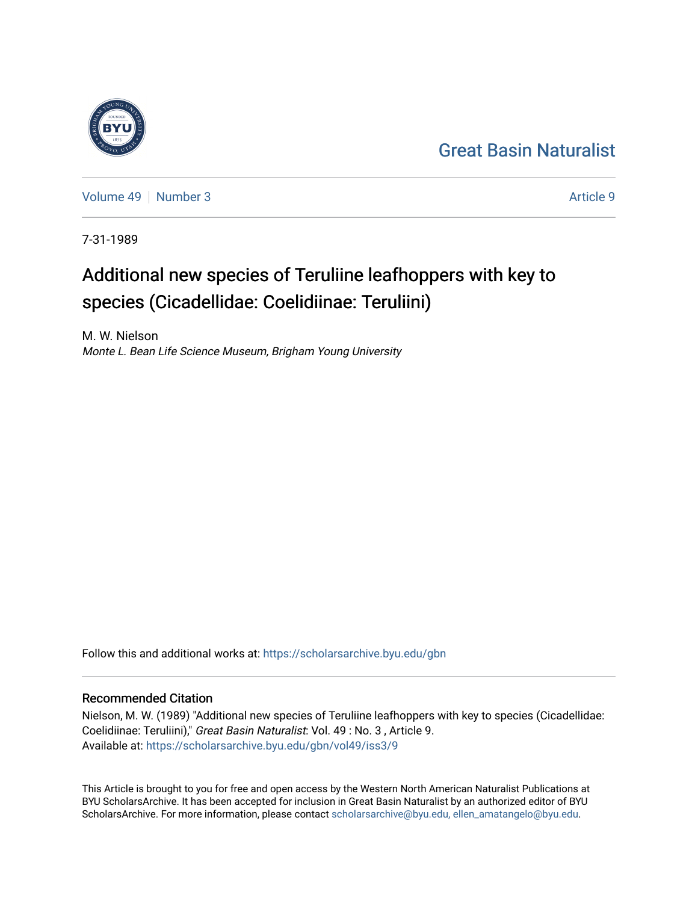## [Great Basin Naturalist](https://scholarsarchive.byu.edu/gbn)



[Volume 49](https://scholarsarchive.byu.edu/gbn/vol49) [Number 3](https://scholarsarchive.byu.edu/gbn/vol49/iss3) Article 9

7-31-1989

# Additional new species of Teruliine leafhoppers with key to species (Cicadellidae: Coelidiinae: Teruliini)

M. W. Nielson Monte L. Bean Life Science Museum, Brigham Young University

Follow this and additional works at: [https://scholarsarchive.byu.edu/gbn](https://scholarsarchive.byu.edu/gbn?utm_source=scholarsarchive.byu.edu%2Fgbn%2Fvol49%2Fiss3%2F9&utm_medium=PDF&utm_campaign=PDFCoverPages) 

## Recommended Citation

Nielson, M. W. (1989) "Additional new species of Teruliine leafhoppers with key to species (Cicadellidae: Coelidiinae: Teruliini)," Great Basin Naturalist: Vol. 49 : No. 3 , Article 9. Available at: [https://scholarsarchive.byu.edu/gbn/vol49/iss3/9](https://scholarsarchive.byu.edu/gbn/vol49/iss3/9?utm_source=scholarsarchive.byu.edu%2Fgbn%2Fvol49%2Fiss3%2F9&utm_medium=PDF&utm_campaign=PDFCoverPages)

This Article is brought to you for free and open access by the Western North American Naturalist Publications at BYU ScholarsArchive. It has been accepted for inclusion in Great Basin Naturalist by an authorized editor of BYU ScholarsArchive. For more information, please contact [scholarsarchive@byu.edu, ellen\\_amatangelo@byu.edu.](mailto:scholarsarchive@byu.edu,%20ellen_amatangelo@byu.edu)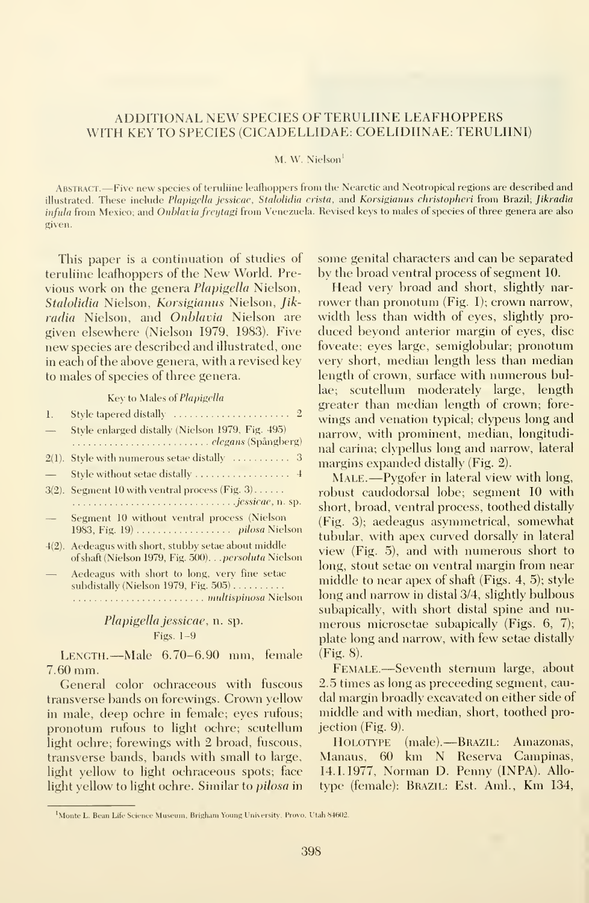## ADDITIONAL NEW SPECIES OF TERULIINE LEAFHOPPERS WITH KEY TO SPECIES (CICADELLIDAE: COELIDIINAE: TERULIINI)

#### M. W. Nielson<sup>1</sup>

Abstract. —Five new species of teruliine leafhoppers from the Nearctie and Neotropical regions are described and illustrated. These include Plapigella jessicae, Stalolidia crista, and Korsigianus christopheri from Brazil; Jikradia infula from Mexico; and Onblavia freytagi from Venezuela. Revised keys to males of species of three genera are also given.

This paper is a continuation of studies of teruliine leafhoppers of the New World. Previous work on the genera Plapigella Nielson, Stalolidia Nielson, Korsigianus Nielson, Jik radia Nielson, and Onblavia Nielson are given elsewhere (Nielson 1979, 1983). Five new species are described and illustrated, one in each of the above genera, with a revised key to males of species of three genera.

Key to Males of Plapigella

| $\mathbf{l}$ .           | $\sim$<br>Style tapered distally $\ldots \ldots \ldots \ldots \ldots \ldots 2$<br>$\mathbf{v}$                   |
|--------------------------|------------------------------------------------------------------------------------------------------------------|
| $\qquad \qquad \qquad$   | Style enlarged distally (Nielson 1979, Fig. 495)<br>$\overline{1}$                                               |
|                          | n                                                                                                                |
|                          | $2(1)$ . Style with numerous setae distally $\dots\dots\dots\dots$ 3<br>$\overline{1}$                           |
|                          | Style without setae distally  4                                                                                  |
| $3(2)$ .                 | Segment 10 with ventral process (Fig. $3$ )<br>r                                                                 |
|                          | <i>jessicae</i> , n. sp.<br>$\overline{\mathbf{s}}$                                                              |
| $\overline{\phantom{m}}$ | Segment 10 without ventral process (Nielson<br>$\left(\right)$<br>t                                              |
| $4(2)$ .                 | Aedeagus with short, stubby setae about middle<br>V<br>of shaft (Nielson 1979, Fig. 500). persoluta Nielson<br>k |
| $\overline{\phantom{0}}$ | Aedeagus with short to long, very fine setae<br>T<br>subdistally (Nielson 1979, Fig. $505$ )<br>k                |
|                          |                                                                                                                  |

Plapigella jessicae, n. sp. Figs. 1-9

Length. —Male 6.70-6.90 mm, female 7.60 mm.

General color ochraceous with fuscous transverse bands on forewings. Crown yellow in male, deep ochre in female; eyes rufous; pronotum rufous to light ochre; scutellum light ochre; forewings with 2 broad, fuscous, transverse bands, bands with small to large, light yellow to light ochraceous spots; face light yellow to light ochre. Similar to *pilosa* in

some genital characters and can be separated by the broad ventral process of segment 10.

Head very broad and short, slightly nar rower than pronotum (Fig. I); crown narrow, width less than width of eyes, slightly pro duced beyond anterior margin of eyes, disc foveate; eyes large, semiglobular; pronotum very short, median length less than median length of crown, surface with numerous bullae; scutellum moderately large, length greater than median length of crown; fore wings and venation typical; clypeus long and narrow, with prominent, median, longitudinal carina; clypellus long and narrow, lateral margins expanded distally (Fig. 2).

MALE.—Pygofer in lateral view with long, robust caudodorsal lobe; segment 10 with short, broad, ventral process, toothed distally (Fig. 3); aedeagus asymmetrical, somewhat tubular, with apex curved dorsally in lateral view (Fig. 5), and with numerous short to long, stout setae on ventral margin from near middle to near apex of shaft (Figs. 4, 5); style long and narrow in distal 3/4, slightly bulbous subapically, with short distal spine and nu merous microsetae subapically (Figs. 6, 7); plate long and narrow, with few setae distallv (Fig. 8).

Female.—Seventh sternum large, about 2.5 times as long as preceeding segment, caudal margin broadly excavated on either side of middle and with median, short, toothed projection (Fig. 9).

Holotype (male). Brazil: Amazonas, Manaus, 60 km N Reserva Campinas, 14.1.1977, Norman D. Penny (INPA). Allo type (female): Brazil: Est. Ami., Km 134,

<sup>&#</sup>x27;Monte L. Bean Life Science Museum, Brigham Young University, Provo, Utah 84602.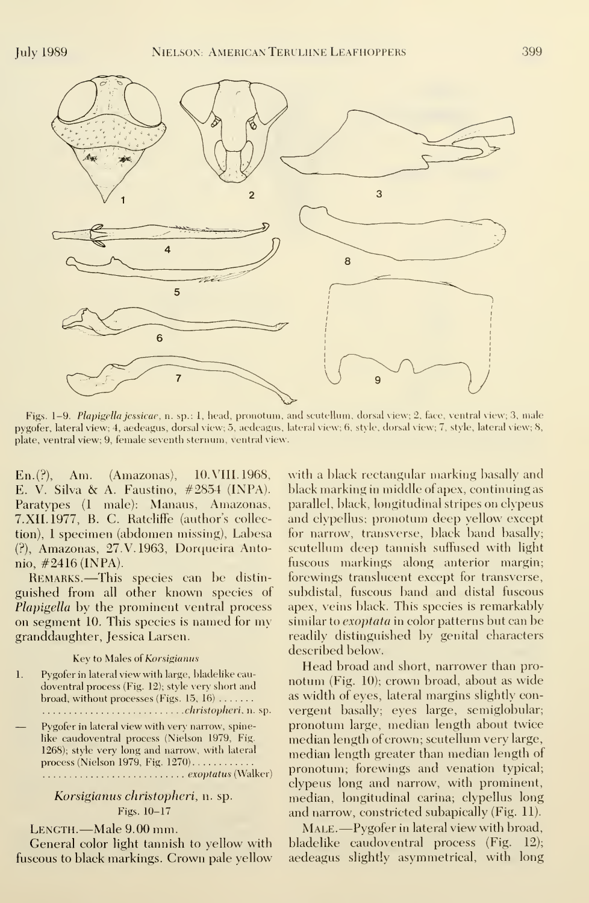

Figs. 1-9. Plapigella jessicac, a. sp.: 1, head, pronotum, and scutellum, dorsal view; 2, face, ventral view; 3, male pygofer, lateral view; 4, aedeagus, dorsal view; 5, aedeagus, lateral view; 6, style, dorsal view; 7, style, lateral view; 8, plate, ventral view; 9, female seventh sternum, ventral view.

En.(?), Am. (Amazonas), 10. VIII. 1968, E. V. Silva & A. Faustino, #2854 (INPA). Paratvpes (1 male): Manaus, Amazonas, 7.XIL1977, B. C. Ratcliffe (author's collection), <sup>1</sup> specimen (abdomen missing), Labesa (?), Amazonas, 27. V. 1963, Dorqueira Antonio,  $\#2416$  (INPA).

Remarks. —This species can be distin guished from all other known species of Plapigella by the prominent ventral process on segment 10. This species is named for my granddaughter, Jessica Larsen.

Key to Males of Korsigianus

1. Pygofer in lateral view with large, bladelike cau doventral process (Fig. 12); style very short and broad, without processes (Figs.  $15, 16$ ) ....... christopheri, n. sp. — Pygofer in lateral view with very narrow, spinelike caudoventral process (Nielson 1979, Fig. 1268); style very long and narrow, with lateral process (Nielson 1979, Fig. 1270)exoptatus (Walker)

Korsigianus christopheri, n. sp. Figs. 10-17

LENGTH.—Male 9.00 mm.

General color light tannish to yellow with fuscous to black markings. Crown pale yellow

with a black rectangular marking basally and black marking in middle of apex, continuing as parallel, black, longitudinal stripes on clypeus and clypellus; pronotum deep yellow except for narrow, transverse, black band basally; scutellum deep tannish suffused with light fuscous markings along anterior margin; forewings translucent except for transverse, subdistal, fuscous band and distal fuscous apex, veins black. This species is remarkably similar to exoptata in color patterns but can be readily distinguished by genital characters described below.

Head broad and short, narrower than pro notum (Fig. 10); crown broad, about as wide as width of eyes, lateral margins slightly con vergent basally; eyes large, semiglobular; pronotum large, median length about twice median length of crown; scutellum very large, median length greater than median length of pronotum; forewings and venation typical; clypeus long and narrow, with prominent, median, longitudinal carina; clypellus long and narrow, constricted subapically (Fig. 11).

MALE.—Pygofer in lateral view with broad, bladelike caudoventral process (Fig. 12); aedeagus slightly asymmetrical, with long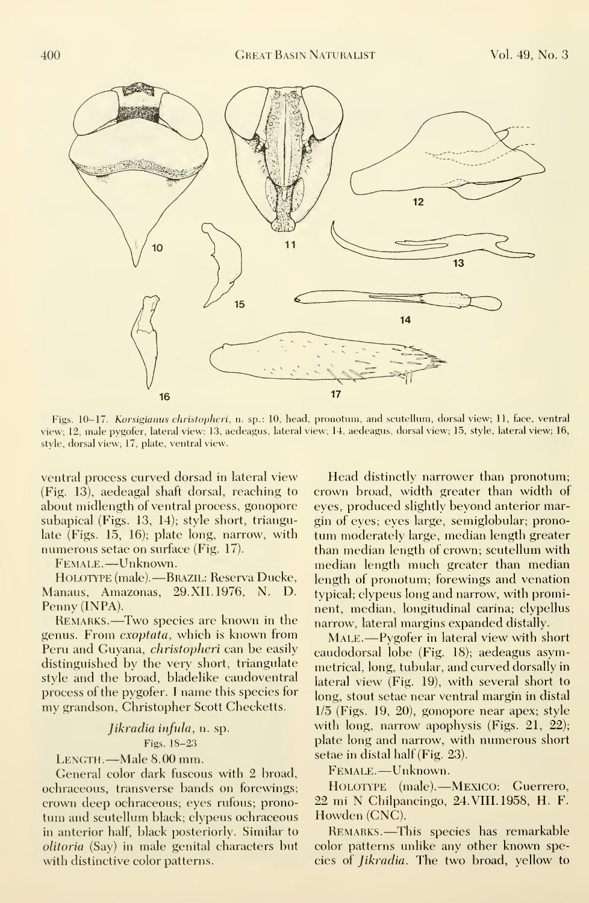

Figs. 10-17. Korsigianus christopheri, n. sp.: 10, head, pronotum, and scutellum, dorsal view; 11, face, ventral view; 12, male pygofer, lateral view; 13, aedeagus, lateral view; 14, aedeagus, dorsal view; 15, style, lateral view; 16, style, dorsal view; 17, plate, ventral view.

ventral process curved dorsad in lateral view (Fig. 13), aedeagal shaft dorsal, reaching to about midlength of ventral process, gonopore subapical (Figs. 13, 14); style short, triangulate (Figs. 15, 16); plate long, narrow, with numerous setae on surface (Fig. 17).

Female. —Unknown.

HOLOTYPE (male).—Brazil: Reserva Ducke, — <sub>lei</sub> Manaus, Amazonas, 29.XII.1976, N. D. Penny (INPA).

Remarks. —Two species are known in the genus. From *exoptata*, which is known from Peru and Guyana, *christopheri* can be easily distinguished by the very short, triangulate style and the broad, bladelike caudoventral process of the pygofer. <sup>I</sup> name this species for my grandson, Christopher Scott Checketts.

### Jikradia infula, n. sp. Figs. 18-23

LENGTH.—Male 8.00 mm.

General color dark fuscous with 2 broad, ochraceous, transverse bands on forewings; crown deep ochraceous; eyes rufous; pronotum and scutellum black; clypeus ochraceous in anterior half, black posteriorly. Similar to olitoria (Say) in male genital characters but with distinctive color patterns.

Head distinctly narrower than pronotum; crown broad, width greater than width of eyes, produced slightly beyond anterior margin of eyes; eyes large, semiglobular; pronotum moderately large, median length greater than median length of crown; scutellum with median length much greater than median length of pronotum; forewings and venation typical; clypeus long and narrow, with prominent, median, longitudinal carina; clypellus narrow, lateral margins expanded distally.

MALE.—Pygofer in lateral view with short caudodorsal lobe (Fig. 18); aedeagus asymmetrical, long, tubular, and curved dorsally in lateral view (Fig. 19), with several short to long, stout setae near ventral margin in distal 1/5 (Figs. 19, 20), gonopore near apex; style with long, narrow apophysis (Figs. 21, 22); plate long and narrow, with numerous short setae in distal half (Fig. 23).

Female. —Unknown.

Holotype (male). Mexico: Guerrero, 22 mi N Chilpancingo, 24. VIII. 1958, H. F. Howden (CNC).

Remarks. —This species has remarkable color patterns unlike any other known species of Jikradia. The two broad, yellow to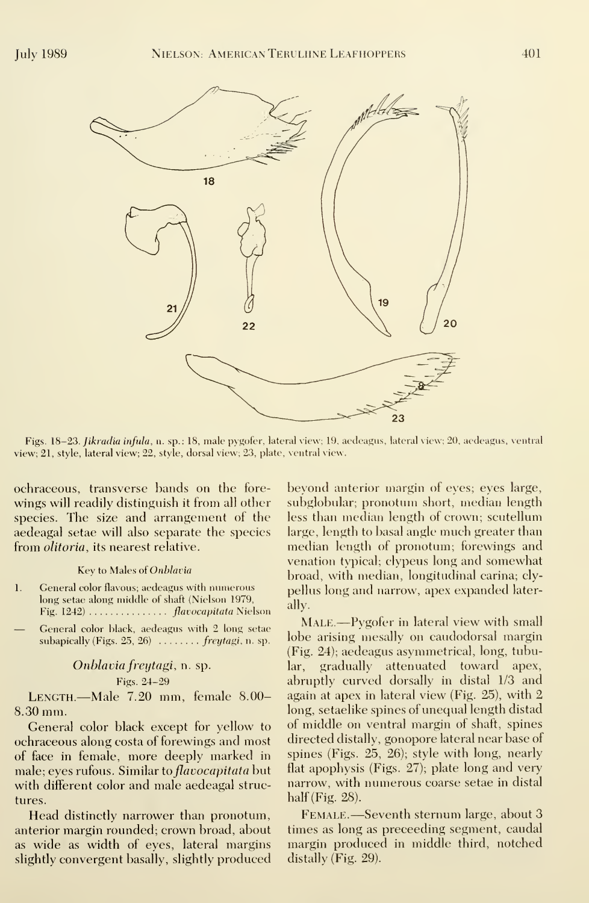

Figs. 18-23. Jikradia infula, n. sp.: 18, male pygofer, lateral view; 19, aedeagus, lateral view; 20, aedeagus, ventral view; 21, style, lateral view; 22, style, dorsal view; 23, plate, ventral view.

ochraceous, transverse bands on the fore wings will readily distinguish it from all other species. The size and arrangement of the aedeagal setae will also separate the species from *olitoria*, its nearest relative.

#### Key to Males of Onblavia

- 1. General color flavous; aedeagus with numerous long setae along middle of shaft (Nielson 1979, Fig. 1242) . . . . . . . . . . . . . . . *flavocapitata* Nielson
- General color black, aedeagus with <sup>2</sup> long setae subapically (Figs.  $25, 26$ )  $\ldots \ldots$  freytagi, n. sp.

## Onblaviafreytagi, n. sp.

#### Figs. 24-29

Length.—Male 7.20 mm, female 8.00- 8.30 mm.

General color black except for yellow to ochraceous along costa of forewings and most of face in female, more deeply marked in male; eyes rufous. Similar to *flavocapitata* but with different color and male aedeagal structures.

Head distinctly narrower than pronotum, anterior margin rounded; crown broad, about as wide as width of eyes, lateral margins slightly convergent basally, slightly produced

beyond anterior margin of eyes; eyes large, subglobular; pronotum short, median length less than median length of crown; scutellum large, length to basal angle much greater than median length of pronotum; forewings and venation typical; clypeus long and somewhat broad, with median, longitudinal carina; clypellus long and narrow, apex expanded laterally.

Male.—Pygofer in lateral view with small lobe arising mesally on caudodorsal margin (Fig. 24); aedeagus asymmetrical, long, tubular, gradually attenuated toward apex, abruptly curved dorsally in distal 1/3 and again at apex in lateral view (Fig. 25), with 2 long, setaelike spines of unequal length distad of middle on ventral margin of shaft, spines directed distally, gonopore lateral near base of spines (Figs. 25, 26); style with long, nearly flat apophysis (Figs. 27); plate long and very narrow, with numerous coarse setae in distal half (Fig. 28).

Female. —Seventh sternum large, about <sup>3</sup> times as long as preceeding segment, caudal margin produced in middle third, notched distally (Fig. 29).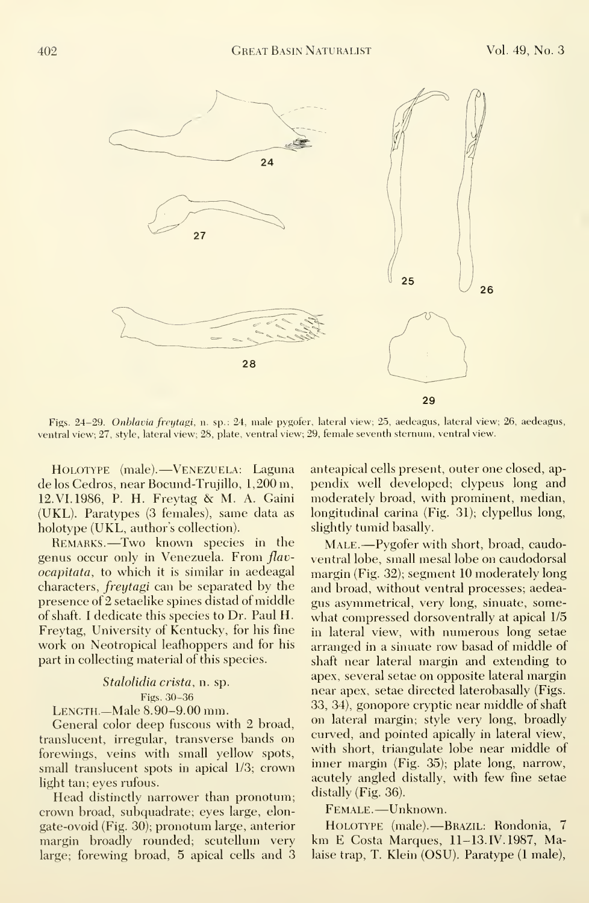

Figs. 24-29. Onblavia freytagi, n. sp.: 24, male pygofer, lateral view; 25, aedeagus, lateral view; 26, aedeagus, ventral view; 27, style, lateral view; 28, plate, ventral view; 29, female seventh sternum, ventral view.

Holotype (male). Venezuela: Laguna de los Cedros, near Bocund-Trujillo, 1,200 m, 12. VI. 1986, P. H. Freytag & M. A. Gaini (UKL). Paratypes (3 females), same data as holotype (UKL, author's collection).

Remarks. —Two known species in the genus occur only in Venezuela. From flav ocapitata, to which it is similar in aedeagal characters, freytagi can be separated by the presence of 2 setaelike spines distad of middle of shaft. <sup>I</sup> dedicate this species to Dr. Paul H. Freytag, University of Kentucky, for his fine work on Neotropical leafhoppers and for his part in collecting material of this species.

Stalolidia crista, n. sp. Figs. 30-36 LENGTH.-Male 8.90-9.00 mm.

General color deep fuscous with 2 broad, translucent, irregular, transverse bands on forewings, veins with small yellow spots, small translucent spots in apical 1/3; crown light tan; eyes rufous.

Head distinctly narrower than pronotum; crown broad, subquadrate; eyes large, elon gate-ovoid (Fig. 30); pronotum large, anterior margin broadly rounded; scutellum very large; forewing broad, 5 apical cells and 3 anteapical cells present, outer one closed, ap pendix well developed; clypeus long and moderately broad, with prominent, median, longitudinal carina (Fig. 31); clypellus long, slightly tumid basally.

MALE.—Pygofer with short, broad, caudoventral lobe, small mesal lobe on caudodorsal margin (Fig. 32); segment 10 moderately long and broad, without ventral processes; aedea gus asymmetrical, very long, sinuate, some what compressed dorsoventrally at apical 1/5 in lateral view, with numerous long setae arranged in a sinuate row basad of middle of shaft near lateral margin and extending to apex, several setae on opposite lateral margin near apex, setae directed laterobasally (Figs. 33, 34), gonopore cryptic near middle of shaft on lateral margin; style very long, broadly curved, and pointed apically in lateral view, with short, triangulate lobe near middle of inner margin (Fig. 35); plate long, narrow, acutely angled distally, with few fine setae distally (Fig. 36).

Female. —Unknown.

Holotype (male). Brazil: Rondonia, 7 km E Costa Marques, 11-13. IV. 1987, Malaise trap, T. Klein (OSU). Paratype (1 male),